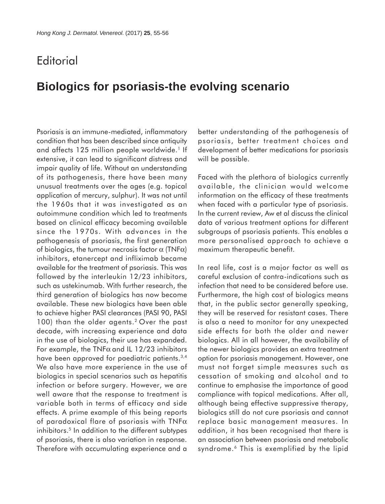## **Editorial**

## **Biologics for psoriasis-the evolving scenario**

Psoriasis is an immune-mediated, inflammatory condition that has been described since antiquity and affects 125 million people worldwide.<sup>1</sup> If extensive, it can lead to significant distress and impair quality of life. Without an understanding of its pathogenesis, there have been many unusual treatments over the ages (e.g. topical application of mercury, sulphur). It was not until the 1960s that it was investigated as an autoimmune condition which led to treatments based on clinical efficacy becoming available since the 1970s. With advances in the pathogenesis of psoriasis, the first generation of biologics, the tumour necrosis factor  $\alpha$  (TNF $\alpha$ ) inhibitors, etanercept and infliximab became available for the treatment of psoriasis. This was followed by the interleukin 12/23 inhibitors, such as ustekinumab. With further research, the third generation of biologics has now become available. These new biologics have been able to achieve higher PASI clearances (PASI 90, PASI 100) than the older agents.<sup>2</sup> Over the past decade, with increasing experience and data in the use of biologics, their use has expanded. For example, the TNF $\alpha$  and IL 12/23 inhibitors have been approved for paediatric patients.3,4 We also have more experience in the use of biologics in special scenarios such as hepatitis infection or before surgery. However, we are well aware that the response to treatment is variable both in terms of efficacy and side effects. A prime example of this being reports of paradoxical flare of psoriasis with TNF $\alpha$ inhibitors.<sup>5</sup> In addition to the different subtypes of psoriasis, there is also variation in response. Therefore with accumulating experience and a better understanding of the pathogenesis of psoriasis, better treatment choices and development of better medications for psoriasis will be possible.

Faced with the plethora of biologics currently available, the clinician would welcome information on the efficacy of these treatments when faced with a particular type of psoriasis. In the current review, Aw et al discuss the clinical data of various treatment options for different subgroups of psoriasis patients. This enables a more personalised approach to achieve a maximum therapeutic benefit.

In real life, cost is a major factor as well as careful exclusion of contra-indications such as infection that need to be considered before use. Furthermore, the high cost of biologics means that, in the public sector generally speaking, they will be reserved for resistant cases. There is also a need to monitor for any unexpected side effects for both the older and newer biologics. All in all however, the availability of the newer biologics provides an extra treatment option for psoriasis management. However, one must not forget simple measures such as cessation of smoking and alcohol and to continue to emphasise the importance of good compliance with topical medications. After all, although being effective suppressive therapy, biologics still do not cure psoriasis and cannot replace basic management measures. In addition, it has been recognised that there is an association between psoriasis and metabolic syndrome.<sup>6</sup> This is exemplified by the lipid